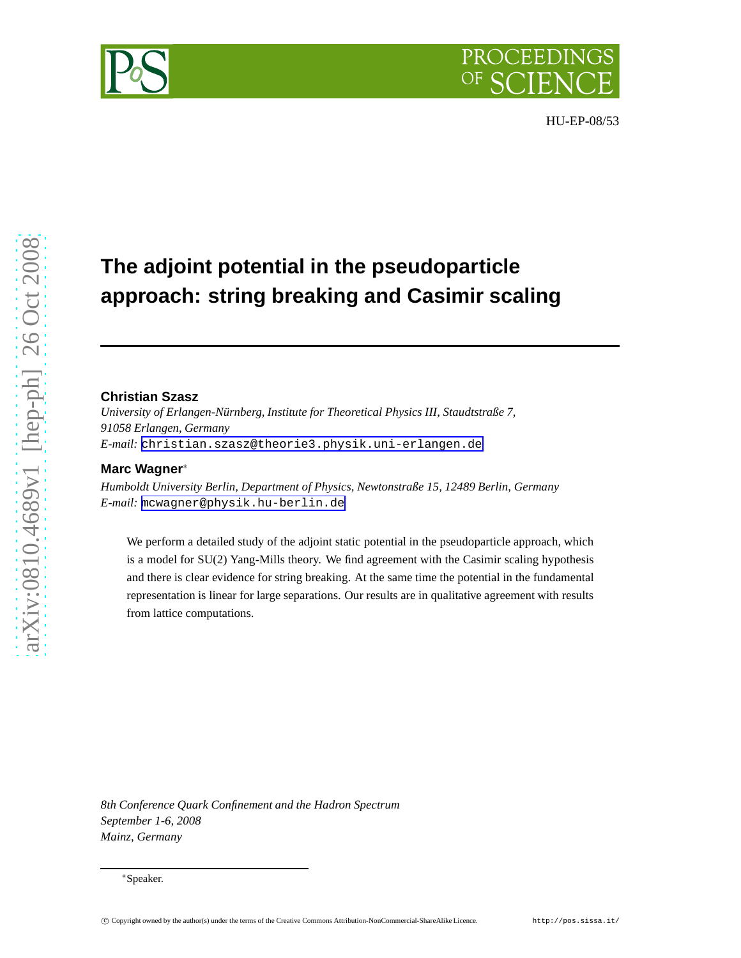

# **The adjoint potential in the pseudoparticle approach: string breaking and Casimir scaling**

#### **Christian Szasz**

*University of Erlangen-Nürnberg, Institute for Theoretical Physics III, Staudtstraße 7, 91058 Erlangen, Germany E-mail:* [christian.szasz@theorie3.physik.uni-erlangen.de](mailto:christian.szasz@theorie3.physik.uni-erlangen.de)

### **Marc Wagner**<sup>∗</sup>

*Humboldt University Berlin, Department of Physics, Newtonstraße 15, 12489 Berlin, Germany E-mail:* [mcwagner@physik.hu-berlin.de](mailto:mcwagner@physik.hu-berlin.de)

We perform a detailed study of the adjoint static potential in the pseudoparticle approach, which is a model for SU(2) Yang-Mills theory. We find agreement with the Casimir scaling hypothesis and there is clear evidence for string breaking. At the same time the potential in the fundamental representation is linear for large separations. Our results are in qualitative agreement with results from lattice computations.

*8th Conference Quark Confinement and the Hadron Spectrum September 1-6, 2008 Mainz, Germany*

<sup>∗</sup>Speaker.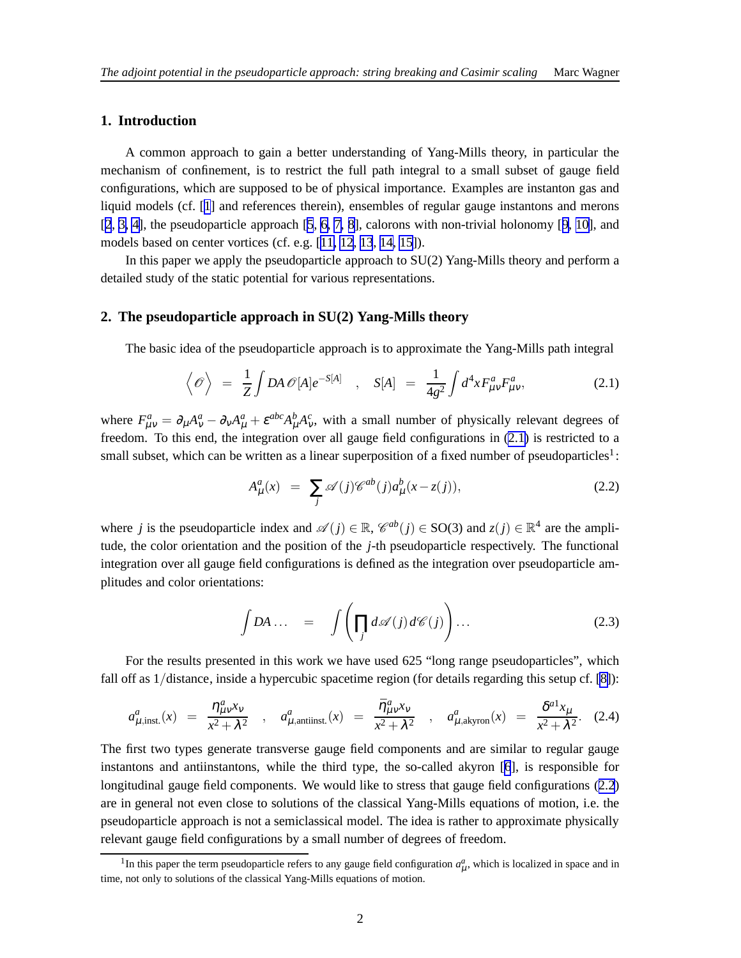## **1. Introduction**

A common approach to gain a better understanding of Yang-Mills theory, in particular the mechanism of confinement, is to restrict the full path integral to a small subset of gauge field configurations, which are supposed to be of physical importance. Examples are instanton gas and liquid models (cf. [[1](#page-4-0)] and references therein), ensembles of regular gauge instantons and merons [[2](#page-4-0), [3, 4\]](#page-4-0), the pseudoparticle approach [[5](#page-4-0), [6, 7, 8](#page-4-0)], calorons with non-trivial holonomy [[9](#page-4-0), [10\]](#page-4-0), and models based on center vortices (cf. e.g. [[11, 12](#page-4-0), [13](#page-4-0), [14, 15](#page-4-0)]).

In this paper we apply the pseudoparticle approach to SU(2) Yang-Mills theory and perform a detailed study of the static potential for various representations.

#### **2. The pseudoparticle approach in SU(2) Yang-Mills theory**

The basic idea of the pseudoparticle approach is to approximate the Yang-Mills path integral

$$
\left\langle \mathcal{O} \right\rangle = \frac{1}{Z} \int DA \, \mathcal{O}[A] e^{-S[A]} \quad , \quad S[A] = \frac{1}{4g^2} \int d^4x F^a_{\mu\nu} F^a_{\mu\nu}, \tag{2.1}
$$

where  $F_{\mu\nu}^a = \partial_\mu A_\nu^a - \partial_\nu A_\mu^a + \varepsilon^{abc} A_\mu^b A_\nu^c$ , with a small number of physically relevant degrees of freedom. To this end, the integration over all gauge field configurations in (2.1) is restricted to a small subset, which can be written as a linear superposition of a fixed number of pseudoparticles<sup>1</sup>:

$$
A^a_\mu(x) = \sum_j \mathscr{A}(j) \mathscr{C}^{ab}(j) a^b_\mu(x - z(j)), \qquad (2.2)
$$

where *j* is the pseudoparticle index and  $\mathscr{A}(j) \in \mathbb{R}$ ,  $\mathscr{C}^{ab}(j) \in SO(3)$  and  $z(j) \in \mathbb{R}^4$  are the amplitude, the color orientation and the position of the *j*-th pseudoparticle respectively. The functional integration over all gauge field configurations is defined as the integration over pseudoparticle amplitudes and color orientations:

$$
\int DA \dots = \int \left( \prod_j d\mathscr{A}(j) d\mathscr{C}(j) \right) \dots \tag{2.3}
$$

For the results presented in this work we have used 625 "long range pseudoparticles", which fall off as 1/distance, inside a hypercubic spacetime region (for details regarding this setup cf. [\[8\]](#page-4-0)):

$$
a_{\mu,\text{inst.}}^a(x) = \frac{\eta_{\mu\nu}^a x_\nu}{x^2 + \lambda^2} , \quad a_{\mu,\text{antiinst.}}^a(x) = \frac{\bar{\eta}_{\mu\nu}^a x_\nu}{x^2 + \lambda^2} , \quad a_{\mu,\text{akyron}}^a(x) = \frac{\delta^{a1} x_\mu}{x^2 + \lambda^2} . \tag{2.4}
$$

The first two types generate transverse gauge field components and are similar to regular gauge instantons and antiinstantons, while the third type, the so-called akyron [\[6](#page-4-0)], is responsible for longitudinal gauge field components. We would like to stress that gauge field configurations (2.2) are in general not even close to solutions of the classical Yang-Mills equations of motion, i.e. the pseudoparticle approach is not a semiclassical model. The idea is rather to approximate physically relevant gauge field configurations by a small number of degrees of freedom.

<sup>&</sup>lt;sup>1</sup>In this paper the term pseudoparticle refers to any gauge field configuration  $a_\mu^a$ , which is localized in space and in time, not only to solutions of the classical Yang-Mills equations of motion.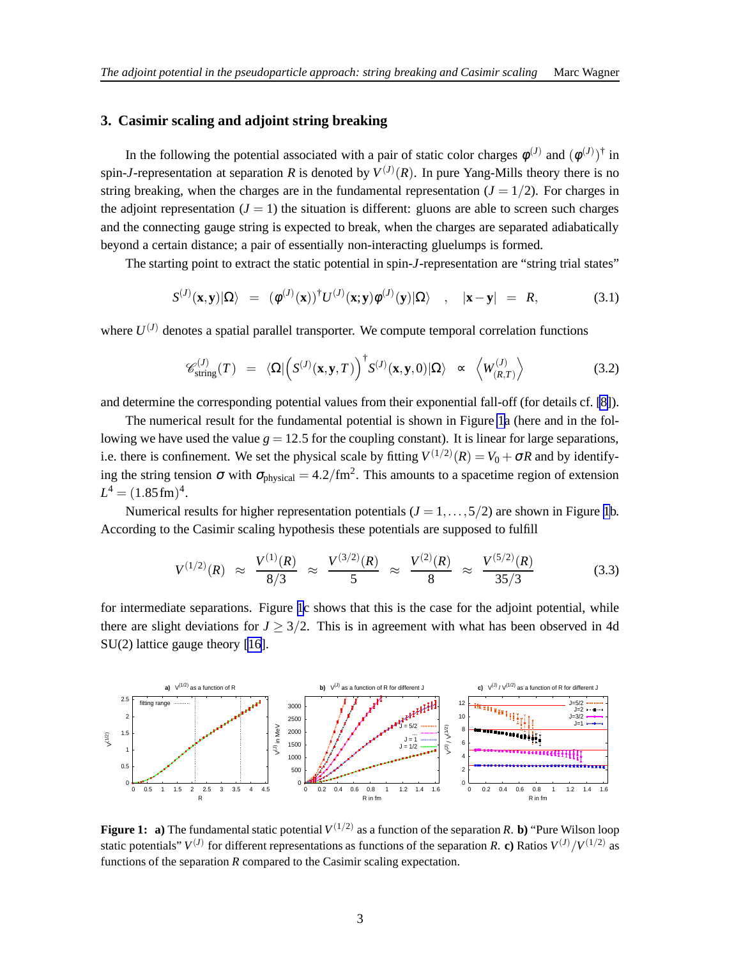# <span id="page-2-0"></span>**3. Casimir scaling and adjoint string breaking**

In the following the potential associated with a pair of static color charges  $\phi^{(J)}$  and  $(\phi^{(J)})^{\dagger}$  in spin-*J*-representation at separation *R* is denoted by  $V^{(J)}(R)$ . In pure Yang-Mills theory there is no string breaking, when the charges are in the fundamental representation  $(J = 1/2)$ . For charges in the adjoint representation  $(J = 1)$  the situation is different: gluons are able to screen such charges and the connecting gauge string is expected to break, when the charges are separated adiabatically beyond a certain distance; a pair of essentially non-interacting gluelumps is formed.

The starting point to extract the static potential in spin-*J*-representation are "string trial states"

$$
S^{(J)}(\mathbf{x}, \mathbf{y})|\Omega\rangle = (\phi^{(J)}(\mathbf{x}))^{\dagger} U^{(J)}(\mathbf{x}; \mathbf{y}) \phi^{(J)}(\mathbf{y})|\Omega\rangle , \quad |\mathbf{x} - \mathbf{y}| = R, \quad (3.1)
$$

where  $U^{(J)}$  denotes a spatial parallel transporter. We compute temporal correlation functions

$$
\mathscr{C}_{\text{string}}^{(J)}(T) = \langle \Omega | \left( S^{(J)}(\mathbf{x}, \mathbf{y}, T) \right)^{\dagger} S^{(J)}(\mathbf{x}, \mathbf{y}, 0) | \Omega \rangle \sim \langle W_{(R,T)}^{(J)} \rangle \tag{3.2}
$$

and determine the corresponding potential values from their exponential fall-off (for details cf. [\[8\]](#page-4-0)).

The numerical result for the fundamental potential is shown in Figure 1a (here and in the following we have used the value  $g = 12.5$  for the coupling constant). It is linear for large separations, i.e. there is confinement. We set the physical scale by fitting  $V^{(1/2)}(R) = V_0 + \sigma R$  and by identifying the string tension  $\sigma$  with  $\sigma_{\text{physical}} = 4.2/\text{fm}^2$ . This amounts to a spacetime region of extension  $L^4 = (1.85 \,\text{fm})^4$ .

Numerical results for higher representation potentials  $(J = 1, \ldots, 5/2)$  are shown in Figure 1b. According to the Casimir scaling hypothesis these potentials are supposed to fulfill

$$
V^{(1/2)}(R) \approx \frac{V^{(1)}(R)}{8/3} \approx \frac{V^{(3/2)}(R)}{5} \approx \frac{V^{(2)}(R)}{8} \approx \frac{V^{(5/2)}(R)}{35/3}
$$
(3.3)

for intermediate separations. Figure 1c shows that this is the case for the adjoint potential, while there are slight deviations for  $J > 3/2$ . This is in agreement with what has been observed in 4d SU(2) lattice gauge theory [\[16](#page-4-0)].



**Figure 1:** a) The fundamental static potential  $V^{(1/2)}$  as a function of the separation R. b) "Pure Wilson loop static potentials"  $V^{(J)}$  for different representations as functions of the separation *R*. **c**) Ratios  $V^{(J)}/V^{(1/2)}$  as functions of the separation *R* compared to the Casimir scaling expectation.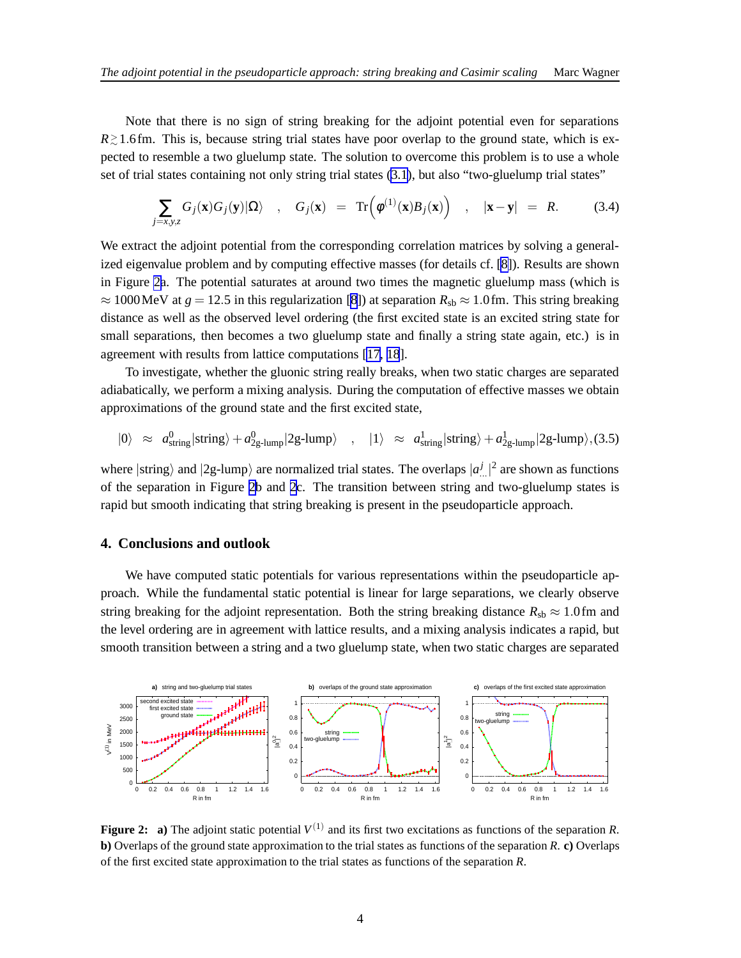Note that there is no sign of string breaking for the adjoint potential even for separations *R* ≥ 1.6fm. This is, because string trial states have poor overlap to the ground state, which is expected to resemble a two gluelump state. The solution to overcome this problem is to use a whole set of trial states containing not only string trial states [\(3.1\)](#page-2-0), but also "two-gluelump trial states"

$$
\sum_{j=x,y,z} G_j(\mathbf{x}) G_j(\mathbf{y}) |\Omega\rangle \quad , \quad G_j(\mathbf{x}) = \operatorname{Tr}\left(\phi^{(1)}(\mathbf{x}) B_j(\mathbf{x})\right) \quad , \quad |\mathbf{x}-\mathbf{y}| = R. \tag{3.4}
$$

We extract the adjoint potential from the corresponding correlation matrices by solving a generalized eigenvalue problem and by computing effective masses (for details cf. [\[8\]](#page-4-0)). Results are shown in Figure 2a. The potential saturates at around two times the magnetic gluelump mass (which is  $\approx 1000$  MeV at  $g = 12.5$  in this regularization [[8](#page-4-0)]) at separation  $R_{sb} \approx 1.0$  fm. This string breaking distance as well as the observed level ordering (the first excited state is an excited string state for small separations, then becomes a two gluelump state and finally a string state again, etc.) is in agreement with results from lattice computations [\[17](#page-4-0), [18](#page-4-0)].

To investigate, whether the gluonic string really breaks, when two static charges are separated adiabatically, we perform a mixing analysis. During the computation of effective masses we obtain approximations of the ground state and the first excited state,

$$
|0\rangle \approx a_{\text{string}}^0 |\text{string}\rangle + a_{2g\text{-lump}}^0 |2g\text{-lump}\rangle \quad , \quad |1\rangle \approx a_{\text{string}}^1 |\text{string}\rangle + a_{2g\text{-lump}}^1 |2g\text{-lump}\rangle, (3.5)
$$

where  $|\text{string}\rangle$  and  $|2g$ -lump $\rangle$  are normalized trial states. The overlaps  $|a^j_{\dots}|^2$  are shown as functions of the separation in Figure 2b and 2c. The transition between string and two-gluelump states is rapid but smooth indicating that string breaking is present in the pseudoparticle approach.

#### **4. Conclusions and outlook**

We have computed static potentials for various representations within the pseudoparticle approach. While the fundamental static potential is linear for large separations, we clearly observe string breaking for the adjoint representation. Both the string breaking distance  $R_{sb} \approx 1.0$  fm and the level ordering are in agreement with lattice results, and a mixing analysis indicates a rapid, but smooth transition between a string and a two gluelump state, when two static charges are separated



**Figure 2:** a) The adjoint static potential  $V^{(1)}$  and its first two excitations as functions of the separation *R*. **b)** Overlaps of the ground state approximation to the trial states as functions of the separation *R*. **c)** Overlaps of the first excited state approximation to the trial states as functions of the separation *R*.